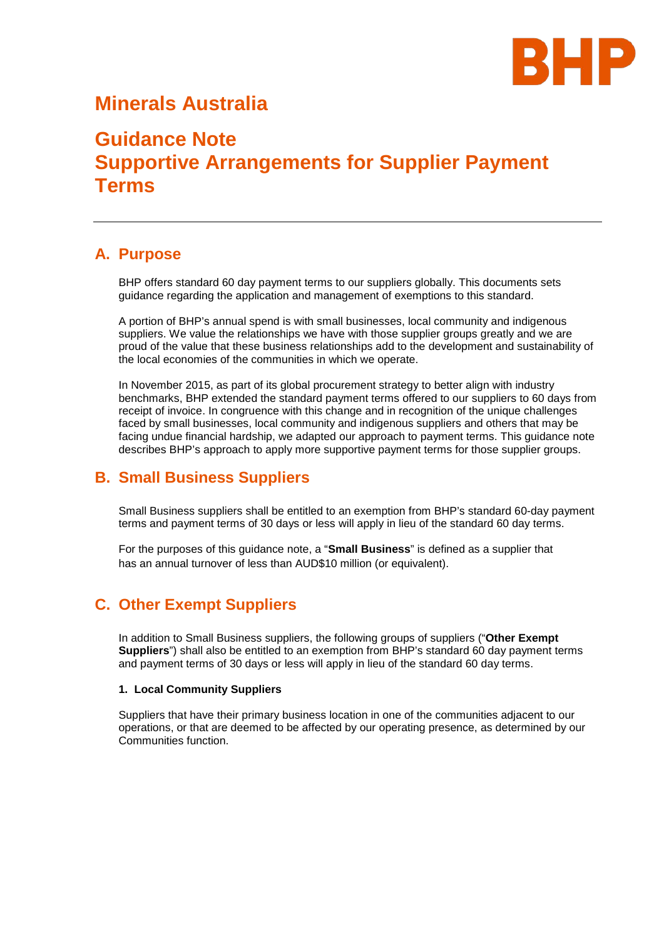

## **Minerals Australia**

# **Guidance Note Supportive Arrangements for Supplier Payment Terms**

### **A. Purpose**

BHP offers standard 60 day payment terms to our suppliers globally. This documents sets guidance regarding the application and management of exemptions to this standard.

A portion of BHP's annual spend is with small businesses, local community and indigenous suppliers. We value the relationships we have with those supplier groups greatly and we are proud of the value that these business relationships add to the development and sustainability of the local economies of the communities in which we operate.

In November 2015, as part of its global procurement strategy to better align with industry benchmarks, BHP extended the standard payment terms offered to our suppliers to 60 days from receipt of invoice. In congruence with this change and in recognition of the unique challenges faced by small businesses, local community and indigenous suppliers and others that may be facing undue financial hardship, we adapted our approach to payment terms. This guidance note describes BHP's approach to apply more supportive payment terms for those supplier groups.

### **B. Small Business Suppliers**

Small Business suppliers shall be entitled to an exemption from BHP's standard 60-day payment terms and payment terms of 30 days or less will apply in lieu of the standard 60 day terms.

For the purposes of this guidance note, a "**Small Business**" is defined as a supplier that has an annual turnover of less than AUD\$10 million (or equivalent).

### **C. Other Exempt Suppliers**

In addition to Small Business suppliers, the following groups of suppliers ("**Other Exempt Suppliers**") shall also be entitled to an exemption from BHP's standard 60 day payment terms and payment terms of 30 days or less will apply in lieu of the standard 60 day terms.

#### **1. Local Community Suppliers**

Suppliers that have their primary business location in one of the communities adjacent to our operations, or that are deemed to be affected by our operating presence, as determined by our Communities function.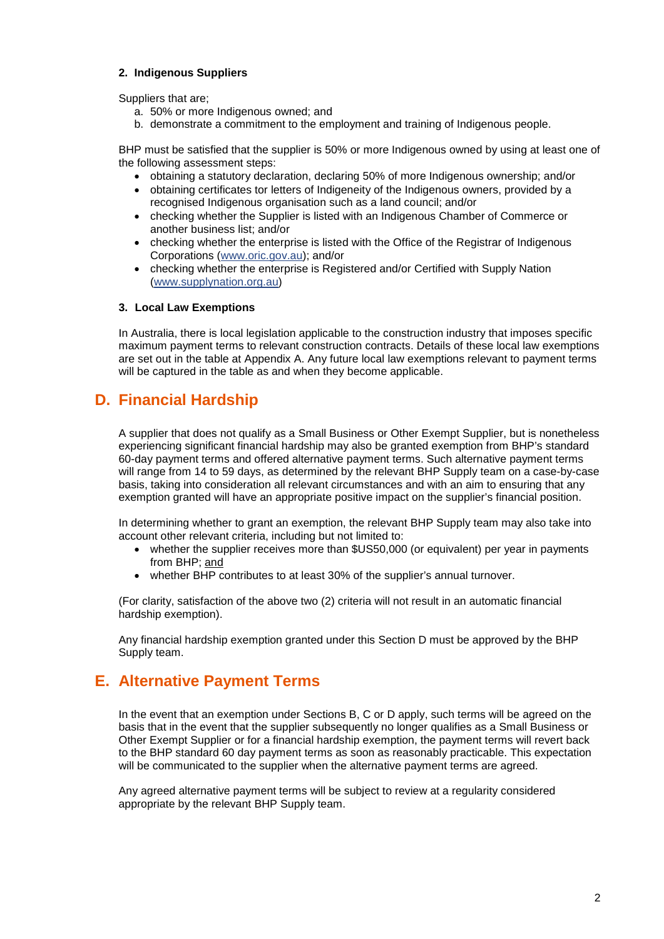#### **2. Indigenous Suppliers**

Suppliers that are;

- a. 50% or more Indigenous owned; and
- b. demonstrate a commitment to the employment and training of Indigenous people.

BHP must be satisfied that the supplier is 50% or more Indigenous owned by using at least one of the following assessment steps:

- obtaining a statutory declaration, declaring 50% of more Indigenous ownership; and/or
- obtaining certificates tor letters of Indigeneity of the Indigenous owners, provided by a recognised Indigenous organisation such as a land council; and/or
- checking whether the Supplier is listed with an Indigenous Chamber of Commerce or another business list; and/or
- checking whether the enterprise is listed with the Office of the Registrar of Indigenous Corporations [\(www.oric.gov.au\)](http://www.oric.gov.au/); and/or
- checking whether the enterprise is Registered and/or Certified with Supply Nation [\(www.supplynation.org.au\)](http://www.supplynation.org.au/)

#### **3. Local Law Exemptions**

In Australia, there is local legislation applicable to the construction industry that imposes specific maximum payment terms to relevant construction contracts. Details of these local law exemptions are set out in the table at Appendix A. Any future local law exemptions relevant to payment terms will be captured in the table as and when they become applicable.

### **D. Financial Hardship**

A supplier that does not qualify as a Small Business or Other Exempt Supplier, but is nonetheless experiencing significant financial hardship may also be granted exemption from BHP's standard 60-day payment terms and offered alternative payment terms. Such alternative payment terms will range from 14 to 59 days, as determined by the relevant BHP Supply team on a case-by-case basis, taking into consideration all relevant circumstances and with an aim to ensuring that any exemption granted will have an appropriate positive impact on the supplier's financial position.

In determining whether to grant an exemption, the relevant BHP Supply team may also take into account other relevant criteria, including but not limited to:

- whether the supplier receives more than \$US50,000 (or equivalent) per year in payments from BHP; and
- whether BHP contributes to at least 30% of the supplier's annual turnover.

(For clarity, satisfaction of the above two (2) criteria will not result in an automatic financial hardship exemption).

Any financial hardship exemption granted under this Section D must be approved by the BHP Supply team.

### **E. Alternative Payment Terms**

In the event that an exemption under Sections B, C or D apply, such terms will be agreed on the basis that in the event that the supplier subsequently no longer qualifies as a Small Business or Other Exempt Supplier or for a financial hardship exemption, the payment terms will revert back to the BHP standard 60 day payment terms as soon as reasonably practicable. This expectation will be communicated to the supplier when the alternative payment terms are agreed.

Any agreed alternative payment terms will be subject to review at a regularity considered appropriate by the relevant BHP Supply team.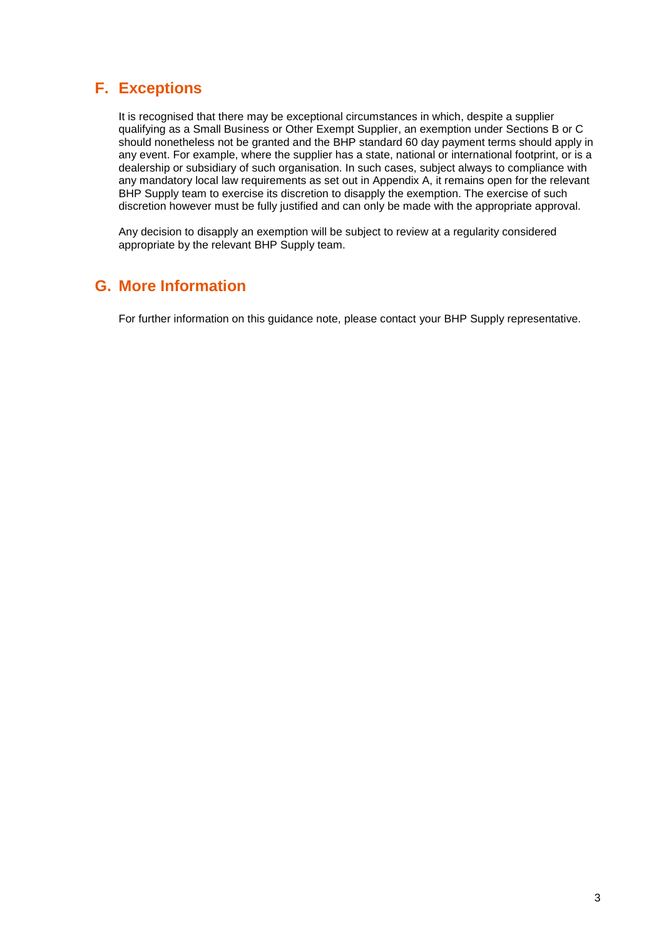## **F. Exceptions**

It is recognised that there may be exceptional circumstances in which, despite a supplier qualifying as a Small Business or Other Exempt Supplier, an exemption under Sections B or C should nonetheless not be granted and the BHP standard 60 day payment terms should apply in any event. For example, where the supplier has a state, national or international footprint, or is a dealership or subsidiary of such organisation. In such cases, subject always to compliance with any mandatory local law requirements as set out in Appendix A, it remains open for the relevant BHP Supply team to exercise its discretion to disapply the exemption. The exercise of such discretion however must be fully justified and can only be made with the appropriate approval.

Any decision to disapply an exemption will be subject to review at a regularity considered appropriate by the relevant BHP Supply team.

### **G. More Information**

For further information on this guidance note, please contact your BHP Supply representative.